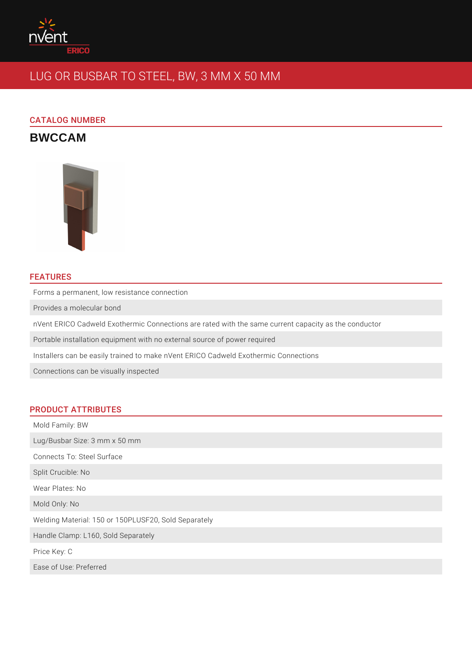

# LUG OR BUSBAR TO STEEL, BW, 3 MM X 50 MM

# CATALOG NUMBER

**BWCCAM**



# FEATURES

Forms a permanent, low resistance connection

Provides a molecular bond

nVent ERICO Cadweld Exothermic Connections are rated with the same current capacity as the conductor

Portable installation equipment with no external source of power required

Installers can be easily trained to make nVent ERICO Cadweld Exothermic Connections

Connections can be visually inspected

### PRODUCT ATTRIBUTES

Mold Family: BW Lug/Busbar Size: 3 mm x 50 mm Connects To: Steel Surface Split Crucible: No Wear Plates: No Mold Only: No Welding Material: 150 or 150PLUSF20, Sold Separately Handle Clamp: L160, Sold Separately Price Key: C Ease of Use: Preferred